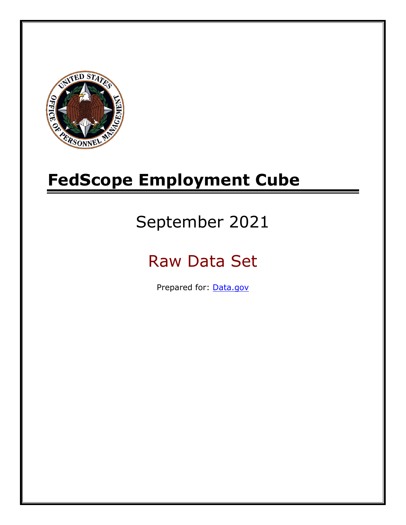

# **FedScope Employment Cube**

# September 2021

# Raw Data Set

Prepared for: [Data.gov](http://www.data.gov/)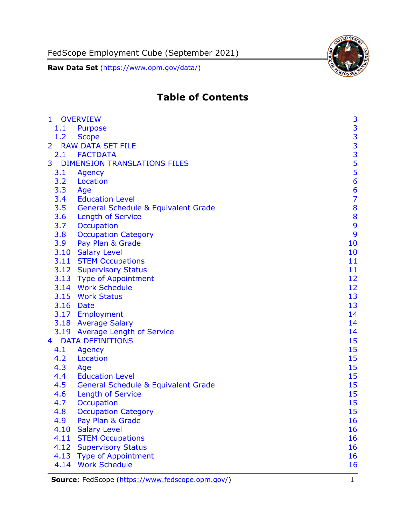FedScope Employment Cube (September 2021)

**Raw Data Set** [\(https://www.opm.gov/data/\)](https://www.opm.gov/data/)



# **Table of Contents**

| $\mathbf{1}$   | <b>OVERVIEW</b>                                | 3                                          |
|----------------|------------------------------------------------|--------------------------------------------|
| 1.1            | Purpose                                        |                                            |
| 1.2            | <b>Scope</b>                                   |                                            |
| $\overline{2}$ | <b>RAW DATA SET FILE</b>                       | $\begin{array}{c} 3 \\ 3 \\ 3 \end{array}$ |
|                | 2.1 FACTDATA                                   |                                            |
| 3              | <b>DIMENSION TRANSLATIONS FILES</b>            | $\frac{5}{5}$                              |
| 3.1            | Agency                                         |                                            |
| 3.2            | Location                                       | 6                                          |
| 3.3            | Age                                            | $\frac{6}{7}$                              |
| 3.4            | <b>Education Level</b>                         |                                            |
| 3.5            | <b>General Schedule &amp; Equivalent Grade</b> | 8                                          |
| 3.6            | <b>Length of Service</b>                       | 8                                          |
| 3.7            | Occupation                                     | 9                                          |
| 3.8            | <b>Occupation Category</b>                     | 9                                          |
| 3.9            | Pay Plan & Grade                               | 10                                         |
|                | 3.10 Salary Level                              | 10                                         |
|                | 3.11 STEM Occupations                          | 11                                         |
|                | 3.12 Supervisory Status                        | 11                                         |
|                | 3.13 Type of Appointment                       | 12                                         |
|                | 3.14 Work Schedule                             | 12                                         |
|                | 3.15 Work Status                               | 13                                         |
|                | 3.16 Date                                      | 13                                         |
|                | 3.17 Employment                                | 14                                         |
|                | 3.18 Average Salary                            | 14                                         |
|                | 3.19 Average Length of Service                 | 14                                         |
| $4 \square$    | <b>DATA DEFINITIONS</b>                        | 15                                         |
| 4.1            | <b>Agency</b>                                  | 15                                         |
| 4.2            | Location                                       | 15                                         |
| 4.3            | Age                                            | 15                                         |
| 4.4            | <b>Education Level</b>                         | 15                                         |
| 4.5            | <b>General Schedule &amp; Equivalent Grade</b> | 15                                         |
| 4.6            | <b>Length of Service</b>                       | 15                                         |
| 4.7            | Occupation                                     | 15                                         |
| 4.8            | <b>Occupation Category</b>                     | 15                                         |
| 4.9            | Pay Plan & Grade                               | 16                                         |
| 4.10           | <b>Salary Level</b>                            | 16                                         |
| 4.11           | <b>STEM Occupations</b>                        | 16                                         |
| 4.12           | <b>Supervisory Status</b>                      | 16                                         |
| 4.13           | <b>Type of Appointment</b>                     | 16                                         |
| 4.14           | <b>Work Schedule</b>                           | 16                                         |
|                |                                                |                                            |

**Source**: FedScope [\(https://www.fedscope.opm.gov/\)](https://www.fedscope.opm.gov/) 1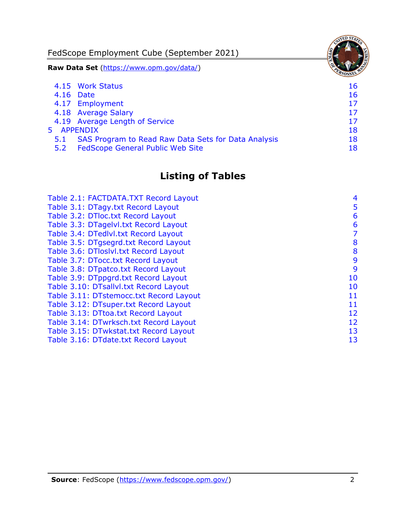FedScope Employment Cube (September 2021) **Raw Data Set** [\(https://www.opm.gov/data/\)](https://www.opm.gov/data/) 4.15 [Work Status](#page-16-6) 16 4.16 [Date](#page-16-7) 16 and 16 and 16 and 16 and 16 and 16 and 16 and 16 and 16 and 16 and 16 and 16 and 16 and 16 and 16 4.17 [Employment](#page-17-0) 17 4.18 [Average Salary](#page-17-1) 17 4.19 [Average Length of Service](#page-17-2) 17 and 17 5 [APPENDIX](#page-18-0) 18 5.1 [SAS Program to Read Raw Data Sets for Data Analysis](#page-18-1) 18

5.2 [FedScope General Public Web Site](#page-18-2) 18 and 18

# **Listing of Tables**

| Table 2.1: FACTDATA.TXT Record Layout   | 4  |
|-----------------------------------------|----|
|                                         |    |
| Table 3.1: DTagy.txt Record Layout      | 5  |
| Table 3.2: DTloc.txt Record Layout      | 6  |
| Table 3.3: DTagelvl.txt Record Layout   | 6  |
| Table 3.4: DTedlvl.txt Record Layout    | 7  |
| Table 3.5: DTgsegrd.txt Record Layout   | 8  |
| Table 3.6: DTloslvl.txt Record Layout   | 8  |
| Table 3.7: DTocc.txt Record Layout      | 9  |
| Table 3.8: DTpatco.txt Record Layout    | 9  |
| Table 3.9: DTppgrd.txt Record Layout    | 10 |
| Table 3.10: DTsallvl.txt Record Layout  | 10 |
| Table 3.11: DTstemocc.txt Record Layout | 11 |
| Table 3.12: DTsuper.txt Record Layout   | 11 |
| Table 3.13: DTtoa.txt Record Layout     | 12 |
| Table 3.14: DTwrksch.txt Record Layout  | 12 |
| Table 3.15: DTwkstat.txt Record Layout  | 13 |
| Table 3.16: DTdate.txt Record Layout    | 13 |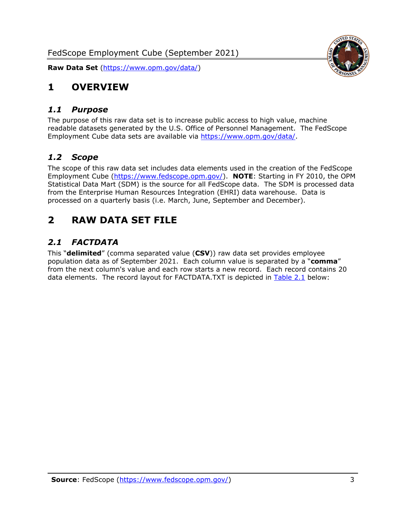

# <span id="page-3-0"></span>**1 OVERVIEW**

#### <span id="page-3-1"></span>*1.1 Purpose*

The purpose of this raw data set is to increase public access to high value, machine readable datasets generated by the U.S. Office of Personnel Management. The FedScope Employment Cube data sets are available via [https://www.opm.gov/data/.](https://www.opm.gov/data/)

#### <span id="page-3-2"></span>*1.2 Scope*

The scope of this raw data set includes data elements used in the creation of the FedScope Employment Cube [\(https://www.fedscope.opm.gov/\)](https://www.fedscope.opm.gov/). **NOTE**: Starting in FY 2010, the OPM Statistical Data Mart (SDM) is the source for all FedScope data. The SDM is processed data from the Enterprise Human Resources Integration (EHRI) data warehouse. Data is processed on a quarterly basis (i.e. March, June, September and December).

# <span id="page-3-3"></span>**2 RAW DATA SET FILE**

## <span id="page-3-4"></span>*2.1 FACTDATA*

This "**delimited**" (comma separated value (**CSV**)) raw data set provides employee population data as of September 2021. Each column value is separated by a "**comma**" from the next column's value and each row starts a new record. Each record contains 20 data elements. The record layout for FACTDATA.TXT is depicted in [Table 2.1](#page-4-0) below: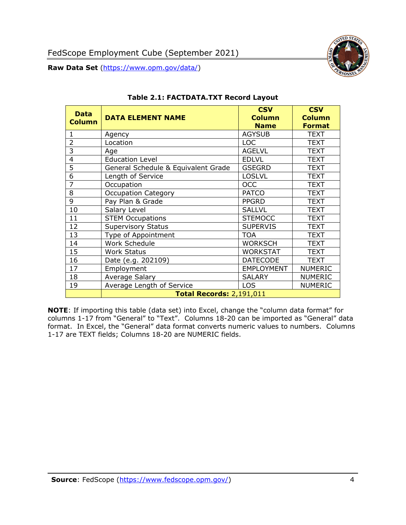

<span id="page-4-0"></span>

| <b>Data</b><br><b>Column</b> | <b>DATA ELEMENT NAME</b>            | <b>CSV</b><br><b>Column</b><br><b>Name</b> | <b>CSV</b><br><b>Column</b><br><b>Format</b> |
|------------------------------|-------------------------------------|--------------------------------------------|----------------------------------------------|
| $\mathbf{1}$                 | Agency                              | <b>AGYSUB</b>                              | <b>TEXT</b>                                  |
| $\overline{2}$               | Location                            | <b>LOC</b>                                 | <b>TEXT</b>                                  |
| 3                            | Age                                 | <b>AGELVL</b>                              | <b>TEXT</b>                                  |
| $\overline{4}$               | <b>Education Level</b>              | <b>EDLVL</b>                               | <b>TEXT</b>                                  |
| 5                            | General Schedule & Equivalent Grade | <b>GSEGRD</b>                              | <b>TEXT</b>                                  |
| 6                            | Length of Service                   | <b>LOSLVL</b>                              | <b>TEXT</b>                                  |
| $\overline{7}$               | Occupation                          | <b>OCC</b>                                 | <b>TEXT</b>                                  |
| 8                            | <b>Occupation Category</b>          | <b>PATCO</b>                               | <b>TEXT</b>                                  |
| 9                            | Pay Plan & Grade                    | <b>PPGRD</b>                               | <b>TEXT</b>                                  |
| 10                           | Salary Level                        | <b>SALLVL</b>                              | <b>TEXT</b>                                  |
| 11                           | <b>STEM Occupations</b>             | <b>STEMOCC</b>                             | <b>TEXT</b>                                  |
| 12                           | <b>Supervisory Status</b>           | <b>SUPERVIS</b>                            | <b>TEXT</b>                                  |
| 13                           | Type of Appointment                 | <b>TOA</b>                                 | <b>TEXT</b>                                  |
| 14                           | Work Schedule                       | <b>WORKSCH</b>                             | <b>TEXT</b>                                  |
| 15                           | <b>Work Status</b>                  | <b>WORKSTAT</b>                            | <b>TEXT</b>                                  |
| 16                           | Date (e.g. 202109)                  | <b>DATECODE</b>                            | <b>TEXT</b>                                  |
| 17                           | Employment                          | <b>EMPLOYMENT</b>                          | <b>NUMERIC</b>                               |
| 18                           | Average Salary                      | <b>SALARY</b>                              | <b>NUMERIC</b>                               |
| 19                           | Average Length of Service           | <b>LOS</b>                                 | <b>NUMERIC</b>                               |
|                              | <b>Total Records: 2,191,011</b>     |                                            |                                              |

#### **Table 2.1: FACTDATA.TXT Record Layout**

**NOTE**: If importing this table (data set) into Excel, change the "column data format" for columns 1-17 from "General" to "Text". Columns 18-20 can be imported as "General" data format. In Excel, the "General" data format converts numeric values to numbers. Columns 1-17 are TEXT fields; Columns 18-20 are NUMERIC fields.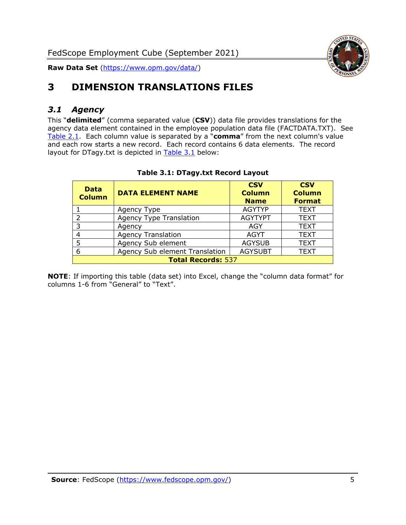

# <span id="page-5-0"></span>**3 DIMENSION TRANSLATIONS FILES**

#### <span id="page-5-1"></span>*3.1 Agency*

This "**delimited**" (comma separated value (**CSV**)) data file provides translations for the agency data element contained in the employee population data file (FACTDATA.TXT). See [Table 2.1.](#page-4-0) Each column value is separated by a "**comma**" from the next column's value and each row starts a new record. Each record contains 6 data elements. The record layout for DTagy.txt is depicted in **[Table 3.1](#page-5-2)** below:

<span id="page-5-2"></span>

| <b>Data</b><br><b>Column</b> | <b>DATA ELEMENT NAME</b>       | <b>CSV</b><br><b>Column</b><br><b>Name</b> | <b>CSV</b><br><b>Column</b><br><b>Format</b> |
|------------------------------|--------------------------------|--------------------------------------------|----------------------------------------------|
|                              | Agency Type                    | <b>AGYTYP</b>                              | <b>TEXT</b>                                  |
|                              | <b>Agency Type Translation</b> | <b>AGYTYPT</b>                             | <b>TEXT</b>                                  |
| २                            | Agency                         | AGY                                        | <b>TEXT</b>                                  |
|                              | <b>Agency Translation</b>      | <b>AGYT</b>                                | <b>TEXT</b>                                  |
|                              | Agency Sub element             | <b>AGYSUB</b>                              | <b>TEXT</b>                                  |
| 6                            | Agency Sub element Translation | <b>AGYSUBT</b>                             | <b>TEXT</b>                                  |
| <b>Total Records: 537</b>    |                                |                                            |                                              |

#### **Table 3.1: DTagy.txt Record Layout**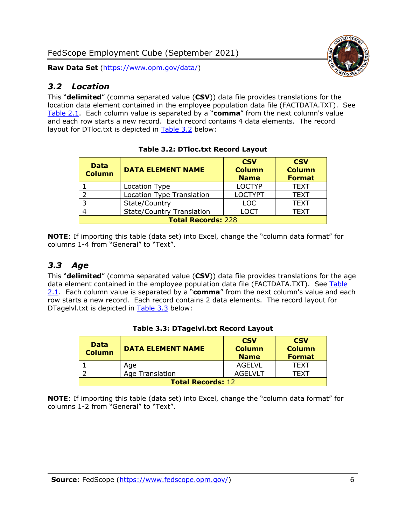### <span id="page-6-0"></span>*3.2 Location*

This "**delimited**" (comma separated value (**CSV**)) data file provides translations for the location data element contained in the employee population data file (FACTDATA.TXT). See [Table 2.1.](#page-4-0) Each column value is separated by a "**comma**" from the next column's value and each row starts a new record. Each record contains 4 data elements. The record layout for DTloc.txt is depicted in [Table 3.2](#page-6-2) below:

<span id="page-6-2"></span>

| <b>Data</b><br><b>Column</b> | <b>DATA ELEMENT NAME</b>         | <b>CSV</b><br><b>Column</b><br><b>Name</b> | <b>CSV</b><br><b>Column</b><br><b>Format</b> |  |
|------------------------------|----------------------------------|--------------------------------------------|----------------------------------------------|--|
|                              | Location Type                    | <b>LOCTYP</b>                              | <b>TEXT</b>                                  |  |
|                              | <b>Location Type Translation</b> | <b>LOCTYPT</b>                             | <b>TEXT</b>                                  |  |
|                              | State/Country                    | <b>LOC</b>                                 | <b>TEXT</b>                                  |  |
|                              | <b>State/Country Translation</b> | LOCT                                       | <b>TEXT</b>                                  |  |
| <b>Total Records: 228</b>    |                                  |                                            |                                              |  |

**Table 3.2: DTloc.txt Record Layout**

**NOTE**: If importing this table (data set) into Excel, change the "column data format" for columns 1-4 from "General" to "Text".

## <span id="page-6-1"></span>*3.3 Age*

This "**delimited**" (comma separated value (**CSV**)) data file provides translations for the age data element contained in the employee population data file (FACTDATA.TXT). See Table [2.1.](#page-4-0) Each column value is separated by a "**comma**" from the next column's value and each row starts a new record. Each record contains 2 data elements. The record layout for DTagelvl.txt is depicted in [Table 3.3](#page-6-3) below:

<span id="page-6-3"></span>

| <b>Data</b><br><b>Column</b> | <b>DATA ELEMENT NAME</b> | <b>CSV</b><br><b>Column</b><br><b>Name</b> | <b>CSV</b><br><b>Column</b><br><b>Format</b> |
|------------------------------|--------------------------|--------------------------------------------|----------------------------------------------|
|                              | Age                      | AGELVL                                     | TFXT                                         |
|                              | Age Translation          | AGEL VLT                                   | TFXT                                         |
| <b>Total Records: 12</b>     |                          |                                            |                                              |

#### **Table 3.3: DTagelvl.txt Record Layout**

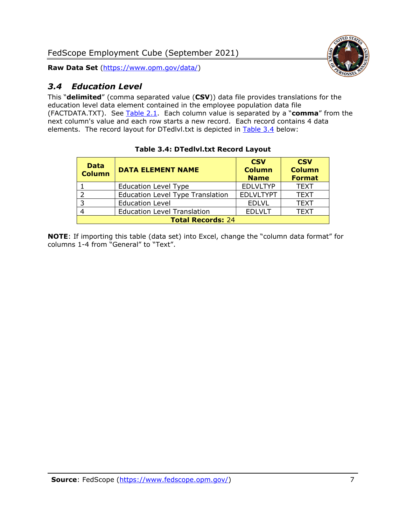



## <span id="page-7-0"></span>*3.4 Education Level*

This "**delimited**" (comma separated value (**CSV**)) data file provides translations for the education level data element contained in the employee population data file (FACTDATA.TXT). See [Table 2.1.](#page-4-0) Each column value is separated by a "**comma**" from the next column's value and each row starts a new record. Each record contains 4 data elements. The record layout for DTedlvl.txt is depicted in [Table 3.4](#page-7-1) below:

<span id="page-7-1"></span>

| <b>Data</b><br><b>Column</b> | <b>DATA ELEMENT NAME</b>                | <b>CSV</b><br><b>Column</b><br><b>Name</b> | <b>CSV</b><br><b>Column</b><br><b>Format</b> |  |
|------------------------------|-----------------------------------------|--------------------------------------------|----------------------------------------------|--|
|                              | <b>Education Level Type</b>             | <b>EDLVLTYP</b>                            | <b>TEXT</b>                                  |  |
| $\mathcal{D}$                | <b>Education Level Type Translation</b> | <b>EDLVLTYPT</b>                           | <b>TEXT</b>                                  |  |
| 3                            | <b>Education Level</b>                  | <b>EDLVL</b>                               | <b>TEXT</b>                                  |  |
|                              | <b>Education Level Translation</b>      | <b>EDLVLT</b>                              | <b>TEXT</b>                                  |  |
| <b>Total Records: 24</b>     |                                         |                                            |                                              |  |

#### **Table 3.4: DTedlvl.txt Record Layout**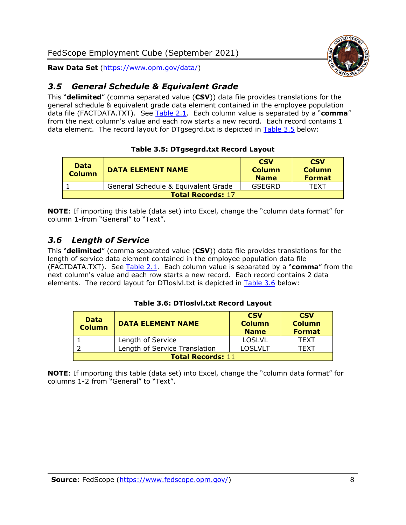

#### <span id="page-8-0"></span>*3.5 General Schedule & Equivalent Grade*

This "**delimited**" (comma separated value (**CSV**)) data file provides translations for the general schedule & equivalent grade data element contained in the employee population data file (FACTDATA.TXT). See [Table 2.1.](#page-4-0) Each column value is separated by a "**comma**" from the next column's value and each row starts a new record. Each record contains 1 data element. The record layout for DTgsegrd.txt is depicted in [Table 3.5](#page-8-2) below:

#### **Table 3.5: DTgsegrd.txt Record Layout**

<span id="page-8-2"></span>

| <b>Data</b><br>Column    | <b>DATA ELEMENT NAME</b>            | <b>CSV</b><br><b>Column</b><br><b>Name</b> | <b>CSV</b><br><b>Column</b><br><b>Format</b> |
|--------------------------|-------------------------------------|--------------------------------------------|----------------------------------------------|
|                          | General Schedule & Equivalent Grade | GSEGRD                                     | TFXT                                         |
| <b>Total Records: 17</b> |                                     |                                            |                                              |

**NOTE**: If importing this table (data set) into Excel, change the "column data format" for column 1-from "General" to "Text".

#### <span id="page-8-1"></span>*3.6 Length of Service*

This "**delimited**" (comma separated value (**CSV**)) data file provides translations for the length of service data element contained in the employee population data file (FACTDATA.TXT). See [Table 2.1.](#page-4-0) Each column value is separated by a "**comma**" from the next column's value and each row starts a new record. Each record contains 2 data elements. The record layout for DTloslvl.txt is depicted in [Table 3.6](#page-8-3) below:

#### **Table 3.6: DTloslvl.txt Record Layout**

<span id="page-8-3"></span>

| <b>Data</b><br><b>Column</b> | <b>DATA ELEMENT NAME</b>      | <b>CSV</b><br><b>Column</b><br><b>Name</b> | <b>CSV</b><br><b>Column</b><br><b>Format</b> |
|------------------------------|-------------------------------|--------------------------------------------|----------------------------------------------|
|                              | Length of Service             | <b>LOSLVL</b>                              | TEXT                                         |
|                              | Length of Service Translation | <b>LOSLVLT</b>                             | TEXT                                         |
| <b>Total Records: 11</b>     |                               |                                            |                                              |

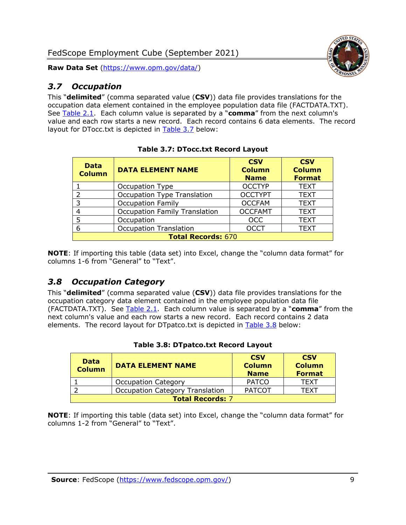## <span id="page-9-0"></span>*3.7 Occupation*

This "**delimited**" (comma separated value (**CSV**)) data file provides translations for the occupation data element contained in the employee population data file (FACTDATA.TXT). See [Table 2.1.](#page-4-0) Each column value is separated by a "**comma**" from the next column's value and each row starts a new record. Each record contains 6 data elements. The record layout for DTocc.txt is depicted in [Table 3.7](#page-9-2) below:

<span id="page-9-2"></span>

| <b>Data</b><br><b>Column</b> | <b>DATA ELEMENT NAME</b>             | <b>CSV</b><br><b>Column</b><br><b>Name</b> | <b>CSV</b><br><b>Column</b><br><b>Format</b> |  |
|------------------------------|--------------------------------------|--------------------------------------------|----------------------------------------------|--|
|                              | Occupation Type                      | <b>OCCTYP</b>                              | <b>TEXT</b>                                  |  |
| フ                            | <b>Occupation Type Translation</b>   | <b>OCCTYPT</b>                             | <b>TEXT</b>                                  |  |
| 3                            | <b>Occupation Family</b>             | <b>OCCFAM</b>                              | <b>TEXT</b>                                  |  |
| 4                            | <b>Occupation Family Translation</b> | <b>OCCFAMT</b>                             | <b>TEXT</b>                                  |  |
| 5                            | Occupation                           | <b>OCC</b>                                 | <b>TEXT</b>                                  |  |
| 6                            | <b>Occupation Translation</b>        | <b>OCCT</b>                                | <b>TEXT</b>                                  |  |
|                              | <b>Total Records: 670</b>            |                                            |                                              |  |

|  | <b>Table 3.7: DTocc.txt Record Layout</b> |  |  |
|--|-------------------------------------------|--|--|
|--|-------------------------------------------|--|--|

**NOTE**: If importing this table (data set) into Excel, change the "column data format" for columns 1-6 from "General" to "Text".

#### <span id="page-9-1"></span>*3.8 Occupation Category*

This "**delimited**" (comma separated value (**CSV**)) data file provides translations for the occupation category data element contained in the employee population data file (FACTDATA.TXT). See [Table 2.1.](#page-4-0) Each column value is separated by a "**comma**" from the next column's value and each row starts a new record. Each record contains 2 data elements. The record layout for DTpatco.txt is depicted in [Table 3.8](#page-9-3) below:

<span id="page-9-3"></span>

| <b>Data</b><br><b>Column</b> | <b>DATA ELEMENT NAME</b>               | <b>CSV</b><br><b>Column</b><br><b>Name</b> | <b>CSV</b><br><b>Column</b><br><b>Format</b> |
|------------------------------|----------------------------------------|--------------------------------------------|----------------------------------------------|
|                              | <b>Occupation Category</b>             | <b>PATCO</b>                               | <b>TEXT</b>                                  |
|                              | <b>Occupation Category Translation</b> | <b>PATCOT</b>                              | TFXT                                         |
| <b>Total Records: 7</b>      |                                        |                                            |                                              |

#### **Table 3.8: DTpatco.txt Record Layout**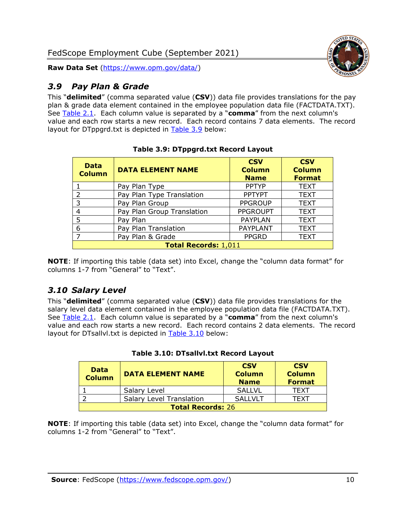## <span id="page-10-0"></span>*3.9 Pay Plan & Grade*

This "**delimited**" (comma separated value (**CSV**)) data file provides translations for the pay plan & grade data element contained in the employee population data file (FACTDATA.TXT). See [Table 2.1.](#page-4-0) Each column value is separated by a "**comma**" from the next column's value and each row starts a new record. Each record contains 7 data elements. The record layout for DTppgrd.txt is depicted in [Table 3.9](#page-10-2) below:

<span id="page-10-2"></span>

| <b>Data</b><br><b>Column</b> | <b>DATA ELEMENT NAME</b>   | <b>CSV</b><br><b>Column</b><br><b>Name</b> | <b>CSV</b><br><b>Column</b><br><b>Format</b> |
|------------------------------|----------------------------|--------------------------------------------|----------------------------------------------|
|                              | Pay Plan Type              | <b>PPTYP</b>                               | <b>TEXT</b>                                  |
| $\mathcal{P}$                | Pay Plan Type Translation  | <b>PPTYPT</b>                              | <b>TEXT</b>                                  |
| 3                            | Pay Plan Group             | <b>PPGROUP</b>                             | <b>TEXT</b>                                  |
| 4                            | Pay Plan Group Translation | <b>PPGROUPT</b>                            | <b>TEXT</b>                                  |
| 5                            | Pay Plan                   | <b>PAYPLAN</b>                             | <b>TEXT</b>                                  |
| 6                            | Pay Plan Translation       | <b>PAYPLANT</b>                            | <b>TEXT</b>                                  |
| ⇁                            | Pay Plan & Grade           | <b>PPGRD</b>                               | <b>TEXT</b>                                  |
| <b>Total Records: 1,011</b>  |                            |                                            |                                              |

**Table 3.9: DTppgrd.txt Record Layout**

**NOTE**: If importing this table (data set) into Excel, change the "column data format" for columns 1-7 from "General" to "Text".

## <span id="page-10-1"></span>*3.10 Salary Level*

This "**delimited**" (comma separated value (**CSV**)) data file provides translations for the salary level data element contained in the employee population data file (FACTDATA.TXT). See [Table 2.1.](#page-4-0) Each column value is separated by a "**comma**" from the next column's value and each row starts a new record. Each record contains 2 data elements. The record layout for DTsallvl.txt is depicted in [Table 3.10](#page-10-3) below:

<span id="page-10-3"></span>

| <b>Data</b><br><b>Column</b> | <b>DATA ELEMENT NAME</b>        | <b>CSV</b><br><b>Column</b><br><b>Name</b> | <b>CSV</b><br><b>Column</b><br><b>Format</b> |
|------------------------------|---------------------------------|--------------------------------------------|----------------------------------------------|
|                              | Salary Level                    | <b>SALLVL</b>                              | TFXT                                         |
|                              | <b>Salary Level Translation</b> | <b>SALLVLT</b>                             | TFXT                                         |
| <b>Total Records: 26</b>     |                                 |                                            |                                              |

|  | Table 3.10: DTsallvl.txt Record Layout |  |  |
|--|----------------------------------------|--|--|
|--|----------------------------------------|--|--|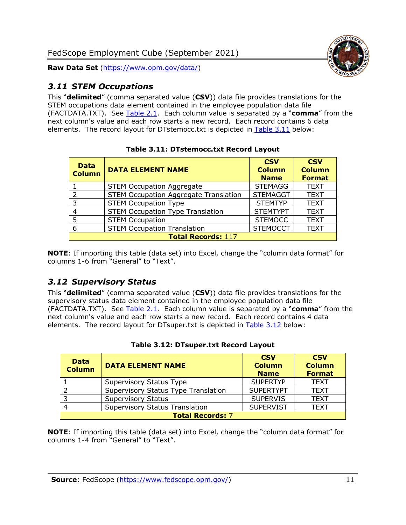

#### <span id="page-11-0"></span>*3.11 STEM Occupations*

This "**delimited**" (comma separated value (**CSV**)) data file provides translations for the STEM occupations data element contained in the employee population data file (FACTDATA.TXT). See [Table 2.1.](#page-4-0) Each column value is separated by a "**comma**" from the next column's value and each row starts a new record. Each record contains 6 data elements. The record layout for DTstemocc.txt is depicted in [Table 3.11](#page-11-2) below:

<span id="page-11-2"></span>

| <b>Data</b><br><b>Column</b> | <b>DATA ELEMENT NAME</b>                     | <b>CSV</b><br><b>Column</b><br><b>Name</b> | <b>CSV</b><br><b>Column</b><br><b>Format</b> |
|------------------------------|----------------------------------------------|--------------------------------------------|----------------------------------------------|
|                              | <b>STEM Occupation Aggregate</b>             | <b>STEMAGG</b>                             | <b>TEXT</b>                                  |
| $\mathcal{P}$                | <b>STEM Occupation Aggregate Translation</b> | <b>STEMAGGT</b>                            | <b>TEXT</b>                                  |
| 3                            | <b>STEM Occupation Type</b>                  | <b>STEMTYP</b>                             | <b>TEXT</b>                                  |
| 4                            | <b>STEM Occupation Type Translation</b>      | <b>STEMTYPT</b>                            | <b>TEXT</b>                                  |
| 5                            | <b>STEM Occupation</b>                       | <b>STEMOCC</b>                             | <b>TEXT</b>                                  |
| 6                            | <b>STEM Occupation Translation</b>           | <b>STEMOCCT</b>                            | <b>TEXT</b>                                  |
| <b>Total Records: 117</b>    |                                              |                                            |                                              |

**Table 3.11: DTstemocc.txt Record Layout**

**NOTE**: If importing this table (data set) into Excel, change the "column data format" for columns 1-6 from "General" to "Text".

## <span id="page-11-1"></span>*3.12 Supervisory Status*

This "**delimited**" (comma separated value (**CSV**)) data file provides translations for the supervisory status data element contained in the employee population data file (FACTDATA.TXT). See [Table 2.1.](#page-4-0) Each column value is separated by a "**comma**" from the next column's value and each row starts a new record. Each record contains 4 data elements. The record layout for DTsuper.txt is depicted in [Table 3.12](#page-11-3) below:

<span id="page-11-3"></span>

| <b>Data</b><br><b>Column</b> | <b>DATA ELEMENT NAME</b>              | <b>CSV</b><br><b>Column</b><br><b>Name</b> | <b>CSV</b><br><b>Column</b><br><b>Format</b> |
|------------------------------|---------------------------------------|--------------------------------------------|----------------------------------------------|
|                              | Supervisory Status Type               | <b>SUPERTYP</b>                            | <b>TEXT</b>                                  |
|                              | Supervisory Status Type Translation   | <b>SUPERTYPT</b>                           | <b>TEXT</b>                                  |
|                              | <b>Supervisory Status</b>             | <b>SUPERVIS</b>                            | <b>TEXT</b>                                  |
|                              | <b>Supervisory Status Translation</b> | <b>SUPERVIST</b>                           | <b>TEXT</b>                                  |
| <b>Total Records: 7</b>      |                                       |                                            |                                              |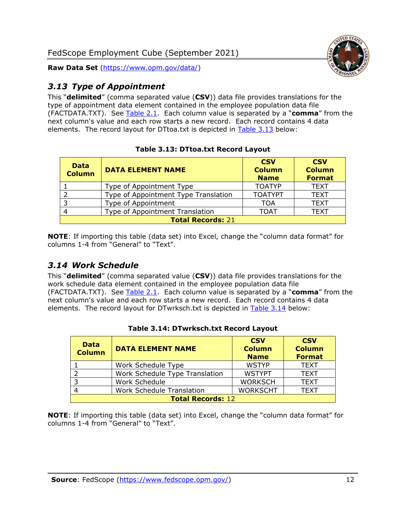

## <span id="page-12-0"></span>*3.13 Type of Appointment*

This "**delimited**" (comma separated value (**CSV**)) data file provides translations for the type of appointment data element contained in the employee population data file (FACTDATA.TXT). See [Table 2.1.](#page-4-0) Each column value is separated by a "**comma**" from the next column's value and each row starts a new record. Each record contains 4 data elements. The record layout for DTtoa.txt is depicted in [Table 3.13](#page-12-2) below:

<span id="page-12-2"></span>

| <b>Data</b><br><b>Column</b> | <b>DATA ELEMENT NAME</b>             | <b>CSV</b><br><b>Column</b><br><b>Name</b> | <b>CSV</b><br><b>Column</b><br><b>Format</b> |
|------------------------------|--------------------------------------|--------------------------------------------|----------------------------------------------|
|                              | Type of Appointment Type             | <b>TOATYP</b>                              | <b>TEXT</b>                                  |
|                              | Type of Appointment Type Translation | <b>TOATYPT</b>                             | <b>TEXT</b>                                  |
| 3                            | Type of Appointment                  | TOA                                        | <b>TEXT</b>                                  |
|                              | Type of Appointment Translation      | <b>TOAT</b>                                | <b>TEXT</b>                                  |
| <b>Total Records: 21</b>     |                                      |                                            |                                              |

#### **Table 3.13: DTtoa.txt Record Layout**

**NOTE**: If importing this table (data set) into Excel, change the "column data format" for columns 1-4 from "General" to "Text".

### <span id="page-12-1"></span>*3.14 Work Schedule*

This "**delimited**" (comma separated value (**CSV**)) data file provides translations for the work schedule data element contained in the employee population data file (FACTDATA.TXT). See [Table 2.1.](#page-4-0) Each column value is separated by a "**comma**" from the next column's value and each row starts a new record. Each record contains 4 data elements. The record layout for DTwrksch.txt is depicted in [Table 3.14](#page-12-3) below:

<span id="page-12-3"></span>

| <b>Data</b><br><b>Column</b> | <b>DATA ELEMENT NAME</b>         | <b>CSV</b><br><b>Column</b><br><b>Name</b> | <b>CSV</b><br><b>Column</b><br><b>Format</b> |
|------------------------------|----------------------------------|--------------------------------------------|----------------------------------------------|
|                              | Work Schedule Type               | <b>WSTYP</b>                               | <b>TEXT</b>                                  |
|                              | Work Schedule Type Translation   | <b>WSTYPT</b>                              | <b>TEXT</b>                                  |
| -3                           | Work Schedule                    | <b>WORKSCH</b>                             | <b>TEXT</b>                                  |
|                              | <b>Work Schedule Translation</b> | <b>WORKSCHT</b>                            | <b>TEXT</b>                                  |
| <b>Total Records: 12</b>     |                                  |                                            |                                              |

#### **Table 3.14: DTwrksch.txt Record Layout**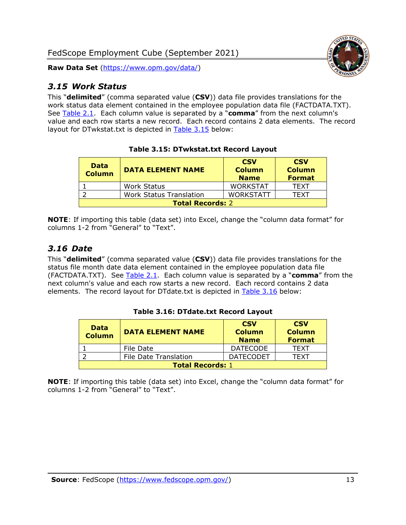#### <span id="page-13-0"></span>*3.15 Work Status*

This "**delimited**" (comma separated value (**CSV**)) data file provides translations for the work status data element contained in the employee population data file (FACTDATA.TXT). See [Table 2.1.](#page-4-0) Each column value is separated by a "**comma**" from the next column's value and each row starts a new record. Each record contains 2 data elements. The record layout for DTwkstat.txt is depicted in [Table 3.15](#page-13-2) below:

<span id="page-13-2"></span>

| <b>Data</b><br><b>Column</b> | <b>DATA ELEMENT NAME</b>       | <b>CSV</b><br><b>Column</b><br><b>Name</b> | <b>CSV</b><br><b>Column</b><br><b>Format</b> |
|------------------------------|--------------------------------|--------------------------------------------|----------------------------------------------|
|                              | <b>Work Status</b>             | <b>WORKSTAT</b>                            | <b>TFXT</b>                                  |
|                              | <b>Work Status Translation</b> | <b>WORKSTATT</b>                           | TFXT                                         |
| <b>Total Records: 2</b>      |                                |                                            |                                              |

**Table 3.15: DTwkstat.txt Record Layout**

**NOTE**: If importing this table (data set) into Excel, change the "column data format" for columns 1-2 from "General" to "Text".

#### <span id="page-13-1"></span>*3.16 Date*

This "**delimited**" (comma separated value (**CSV**)) data file provides translations for the status file month date data element contained in the employee population data file (FACTDATA.TXT). See [Table 2.1.](#page-4-0) Each column value is separated by a "**comma**" from the next column's value and each row starts a new record. Each record contains 2 data elements. The record layout for DTdate.txt is depicted in [Table 3.16](#page-13-3) below:

<span id="page-13-3"></span>

| <b>Data</b><br><b>Column</b> | <b>DATA ELEMENT NAME</b>     | <b>CSV</b><br><b>Column</b><br><b>Name</b> | <b>CSV</b><br><b>Column</b><br><b>Format</b> |
|------------------------------|------------------------------|--------------------------------------------|----------------------------------------------|
|                              | File Date                    | <b>DATECODE</b>                            | <b>TFXT</b>                                  |
|                              | <b>File Date Translation</b> | <b>DATECODET</b>                           | TFXT                                         |
| <b>Total Records: 1</b>      |                              |                                            |                                              |

**Table 3.16: DTdate.txt Record Layout**

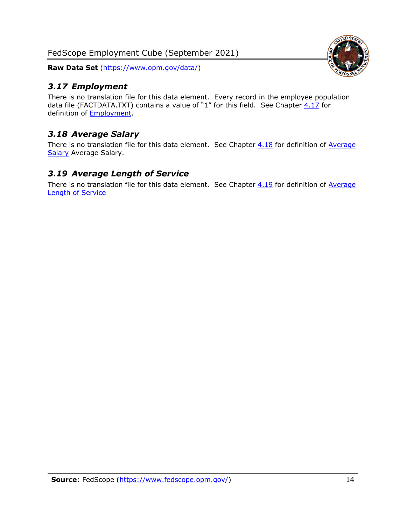FedScope Employment Cube (September 2021)

**Raw Data Set** [\(https://www.opm.gov/data/\)](https://www.opm.gov/data/)

### <span id="page-14-0"></span>*3.17 Employment*

There is no translation file for this data element. Every record in the employee population data file (FACTDATA.TXT) contains a value of "1" for this field. See Chapter  $4.17$  for definition of [Employment.](#page-17-0)

## <span id="page-14-1"></span>*3.18 Average Salary*

There is no translation file for this data element. See Chapter  $4.18$  for definition of Average [Salary](#page-17-1) [Average Salary.](#page-17-1)

#### <span id="page-14-2"></span>*3.19 Average Length of Service*

There is no translation file for this data element. See Chapter  $4.19$  for definition of Average [Length of Service](#page-17-2)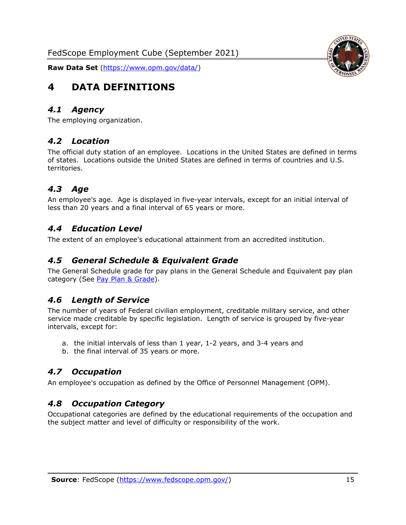

# <span id="page-15-0"></span>**4 DATA DEFINITIONS**

#### <span id="page-15-1"></span>*4.1 Agency*

<span id="page-15-2"></span>The employing organization.

#### *4.2 Location*

The official duty station of an employee. Locations in the United States are defined in terms of states. Locations outside the United States are defined in terms of countries and U.S. territories.

#### <span id="page-15-3"></span>*4.3 Age*

An employee's age. Age is displayed in five-year intervals, except for an initial interval of less than 20 years and a final interval of 65 years or more.

#### <span id="page-15-4"></span>*4.4 Education Level*

<span id="page-15-5"></span>The extent of an employee's educational attainment from an accredited institution.

#### *4.5 General Schedule & Equivalent Grade*

The General Schedule grade for pay plans in the General Schedule and Equivalent pay plan category (See [Pay Plan & Grade\)](#page-16-0).

#### <span id="page-15-6"></span>*4.6 Length of Service*

The number of years of Federal civilian employment, creditable military service, and other service made creditable by specific legislation. Length of service is grouped by five-year intervals, except for:

- a. the initial intervals of less than 1 year, 1-2 years, and 3-4 years and
- b. the final interval of 35 years or more.

#### <span id="page-15-7"></span>*4.7 Occupation*

<span id="page-15-8"></span>An employee's occupation as defined by the Office of Personnel Management (OPM).

#### *4.8 Occupation Category*

Occupational categories are defined by the educational requirements of the occupation and the subject matter and level of difficulty or responsibility of the work.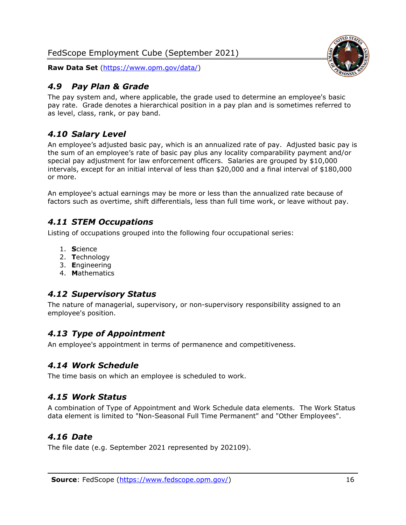### <span id="page-16-0"></span>*4.9 Pay Plan & Grade*

The pay system and, where applicable, the grade used to determine an employee's basic pay rate. Grade denotes a hierarchical position in a pay plan and is sometimes referred to as level, class, rank, or pay band.

## <span id="page-16-1"></span>*4.10 Salary Level*

An employee's adjusted basic pay, which is an annualized rate of pay. Adjusted basic pay is the sum of an employee's rate of basic pay plus any locality comparability payment and/or special pay adjustment for law enforcement officers. Salaries are grouped by \$10,000 intervals, except for an initial interval of less than \$20,000 and a final interval of \$180,000 or more.

An employee's actual earnings may be more or less than the annualized rate because of factors such as overtime, shift differentials, less than full time work, or leave without pay.

#### <span id="page-16-2"></span>*4.11 STEM Occupations*

Listing of occupations grouped into the following four occupational series:

- 1. **S**cience
- 2. **T**echnology
- 3. **E**ngineering
- 4. **M**athematics

## <span id="page-16-3"></span>*4.12 Supervisory Status*

The nature of managerial, supervisory, or non-supervisory responsibility assigned to an employee's position.

#### <span id="page-16-4"></span>*4.13 Type of Appointment*

<span id="page-16-5"></span>An employee's appointment in terms of permanence and competitiveness.

#### *4.14 Work Schedule*

<span id="page-16-6"></span>The time basis on which an employee is scheduled to work.

#### *4.15 Work Status*

A combination of Type of Appointment and Work Schedule data elements. The Work Status data element is limited to "Non-Seasonal Full Time Permanent" and "Other Employees".

#### <span id="page-16-7"></span>*4.16 Date*

<span id="page-16-8"></span>The file date (e.g. September 2021 represented by 202109).

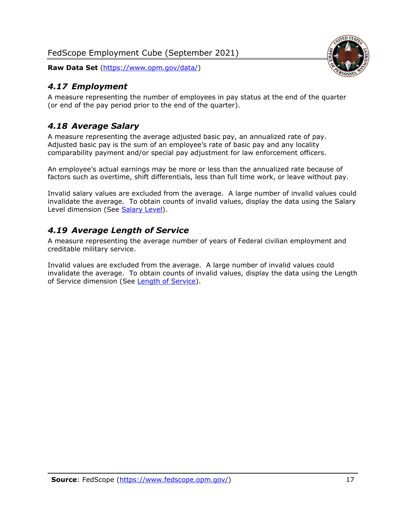### <span id="page-17-0"></span>*4.17 Employment*

A measure representing the number of employees in pay status at the end of the quarter (or end of the pay period prior to the end of the quarter).

### <span id="page-17-1"></span>*4.18 Average Salary*

A measure representing the average adjusted basic pay, an annualized rate of pay. Adjusted basic pay is the sum of an employee's rate of basic pay and any locality comparability payment and/or special pay adjustment for law enforcement officers.

An employee's actual earnings may be more or less than the annualized rate because of factors such as overtime, shift differentials, less than full time work, or leave without pay.

Invalid salary values are excluded from the average. A large number of invalid values could invalidate the average. To obtain counts of invalid values, display the data using the Salary Level dimension (See [Salary Level\)](#page-16-1).

#### <span id="page-17-2"></span>*4.19 Average Length of Service*

A measure representing the average number of years of Federal civilian employment and creditable military service.

Invalid values are excluded from the average. A large number of invalid values could invalidate the average. To obtain counts of invalid values, display the data using the Length of Service dimension (See [Length of Service\)](#page-15-6).